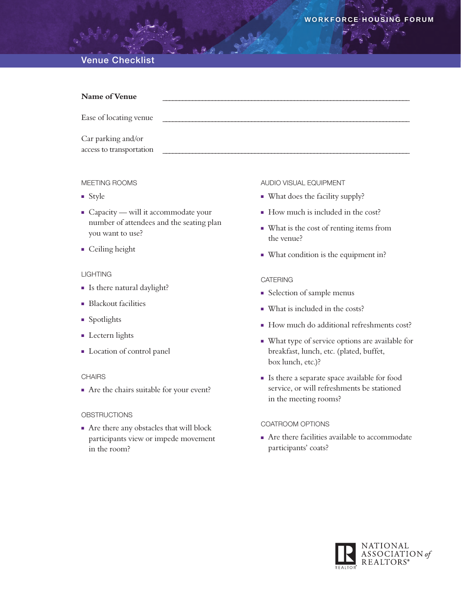# Venue Checklist

| Name of Venue                                  |  |
|------------------------------------------------|--|
| Ease of locating venue                         |  |
| Car parking and/or<br>access to transportation |  |

#### Meeting Rooms

- $S$ tyle
- $\blacksquare$  Capacity will it accommodate your number of attendees and the seating plan you want to use?
- **n** Ceiling height

#### **LIGHTING**

- Is there natural daylight?
- **Blackout facilities**
- **n** Spotlights
- $\blacksquare$  Lectern lights
- **n** Location of control panel

## **CHAIRS**

n Are the chairs suitable for your event?

#### **OBSTRUCTIONS**

<sup>n</sup> Are there any obstacles that will block participants view or impede movement in the room?

#### Audio Visual Equipment

- What does the facility supply?
- How much is included in the cost?
- <sup>n</sup> What is the cost of renting items from the venue?
- <sup>n</sup> What condition is the equipment in?

#### **CATERING**

- **Exercise 1** Selection of sample menus
- What is included in the costs?
- How much do additional refreshments cost?
- <sup>n</sup> What type of service options are available for breakfast, lunch, etc. (plated, buffet, box lunch, etc.)?
- <sup>n</sup> Is there a separate space available for food service, or will refreshments be stationed in the meeting rooms?

#### Coatroom Options

 $\blacksquare$  Are there facilities available to accommodate participants' coats?